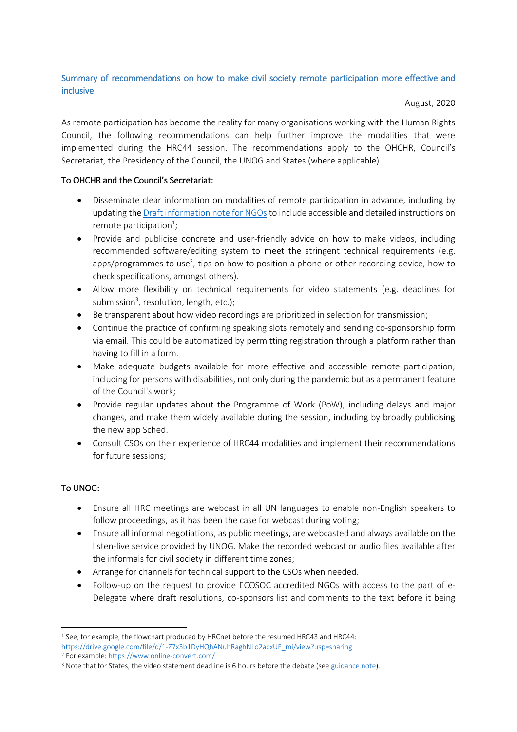## Summary of recommendations on how to make civil society remote participation more effective and inclusive

August, 2020

As remote participation has become the reality for many organisations working with the Human Rights Council, the following recommendations can help further improve the modalities that were implemented during the HRC44 session. The recommendations apply to the OHCHR, Council's Secretariat, the Presidency of the Council, the UNOG and States (where applicable).

## To OHCHR and the Council's Secretariat:

- Disseminate clear information on modalities of remote participation in advance, including by updating th[e Draft information note for NGOs](https://www.ohchr.org/Documents/HRBodies/HRCouncil/Information_note_NGOs_HRC44.docx) to include accessible and detailed instructions on remote participation $^{1}$ ;
- Provide and publicise concrete and user-friendly advice on how to make videos, including recommended software/editing system to meet the stringent technical requirements (e.g. apps/programmes to use<sup>2</sup>, tips on how to position a phone or other recording device, how to check specifications, amongst others).
- Allow more flexibility on technical requirements for video statements (e.g. deadlines for submission<sup>3</sup>, resolution, length, etc.);
- Be transparent about how video recordings are prioritized in selection for transmission;
- Continue the practice of confirming speaking slots remotely and sending co-sponsorship form via email. This could be automatized by permitting registration through a platform rather than having to fill in a form.
- Make adequate budgets available for more effective and accessible remote participation, including for persons with disabilities, not only during the pandemic but as a permanent feature of the Council's work;
- Provide regular updates about the Programme of Work (PoW), including delays and major changes, and make them widely available during the session, including by broadly publicising the new app Sched.
- Consult CSOs on their experience of HRC44 modalities and implement their recommendations for future sessions;

## To UNOG:

- Ensure all HRC meetings are webcast in all UN languages to enable non-English speakers to follow proceedings, as it has been the case for webcast during voting;
- Ensure all informal negotiations, as public meetings, are webcasted and always available on the listen-live service provided by UNOG. Make the recorded webcast or audio files available after the informals for civil society in different time zones;
- Arrange for channels for technical support to the CSOs when needed.
- Follow-up on the request to provide ECOSOC accredited NGOs with access to the part of e-Delegate where draft resolutions, co-sponsors list and comments to the text before it being

**<sup>.</sup>** <sup>1</sup> See, for example, the flowchart produced by HRCnet before the resumed HRC43 and HRC44: [https://drive.google.com/file/d/1-Z7x3b1DyHQhANuhRaghNLo2acxUF\\_mi/view?usp=sharing](https://drive.google.com/file/d/1-Z7x3b1DyHQhANuhRaghNLo2acxUF_mi/view?usp=sharing)

<sup>2</sup> For example:<https://www.online-convert.com/>

<sup>&</sup>lt;sup>3</sup> Note that for States, the video statement deadline is 6 hours before the debate (se[e guidance note\)](https://extranet.ohchr.org/sites/hrc/HRCSessions/RegularSessions/43session/DL_List_of_Speakers/Guidelines%20list%20of%20speakers_HRC44.docx).